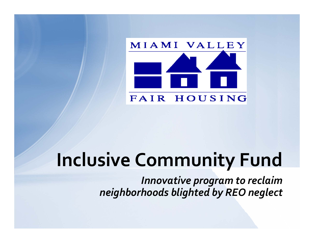

# **Inclusive Community Fund**

*Innovative program to reclaim neighborhoods blighted by REO neglect*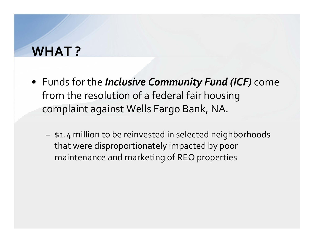## **WHAT ?**

- Funds for the *Inclusive Community Fund (ICF)* come from the resolution of <sup>a</sup> federal fair housing complaint against Wells Fargo Bank, NA.
	- \$1.4 million to be reinvested in selected neighborhoods that were disproportionately impacted by poor maintenance and marketing of REO properties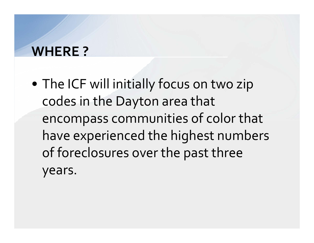## **WHERE ?**

• The ICF will initially focus on two zip codes in the Dayton area that encompass communities of color that have experienced the highest numbers of foreclosures over the pas<sup>t</sup> three years.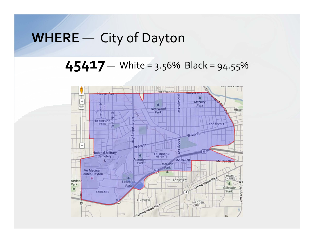## **WHERE** — City of Dayton

**45417** — White <sup>=</sup> 3.56% Black <sup>=</sup> 94.55%

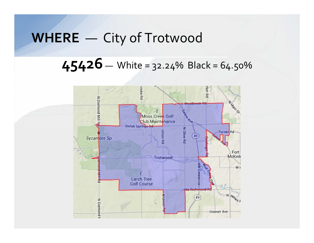## **WHERE** — City of Trotwood

## $45426 -$  White = 32.24% Black = 64.50%

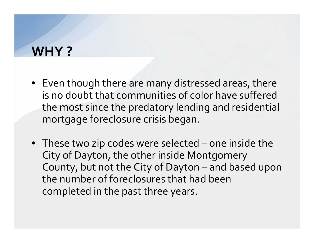## **WHY ?**

- Even though there are many distressed areas, there is no doubt that communities of color have sufferedthe most since the predatory lending and residential mortgage foreclosure crisis began.
- These two zip codes were selected one inside the City of Dayton, the other inside Montgomery County, but not the City of Dayton – and based upon the number of foreclosures that had been completed in the pas<sup>t</sup> three years.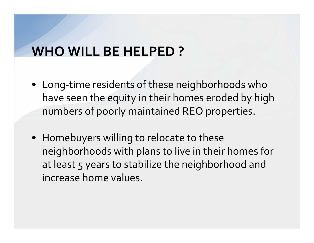## **WHO WILL BE HELPED ?**

- Long‐time residents of these neighborhoods who have seen the equity in their homes eroded by high numbers of poorly maintained REO properties.
- Homebuyers willing to relocate to these neighborhoods with plans to live in their homes for at least 5 years to stabilize the neighborhood and increase home values.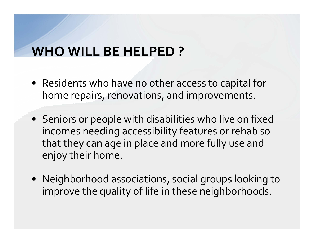## **WHO WILL BE HELPED ?**

- Residents who have no other access to capital for home repairs, renovations, and improvements.
- Seniors or people with disabilities who live on fixed incomes needing accessibility features or rehab so that they can age in place and more fully use and enjoy their home.
- Neighborhood associations, social groups looking to improve the quality of life in these neighborhoods.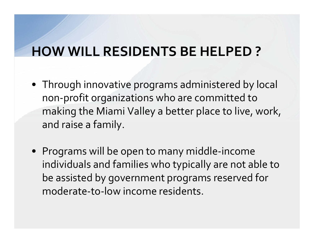## **HOW WILL RESIDENTS BE HELPED ?**

- Through innovative programs administered by local non‐profit organizations who are committed to making the Miami Valley <sup>a</sup> better place to live, work, and raise <sup>a</sup> family.
- Programs will be open to many middle‐income individuals and families who typically are not able to be assisted by governmen<sup>t</sup> programs reserved for moderate‐to‐low income residents.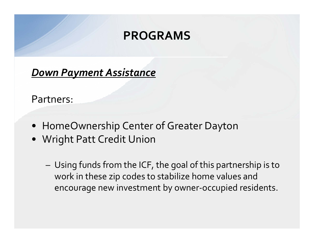#### *Down Payment Assistance*

#### Partners:

- HomeOwnership Center of Greater Dayton
- Wright Patt Credit Union
	- Using funds from the ICF, the goal of this partnership is to work in these zip codes to stabilize home values and encourage new investment by owner‐occupied residents.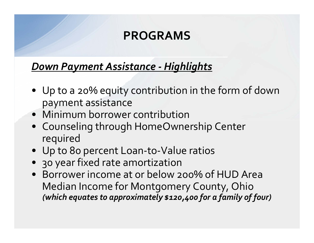#### *Down Payment Assistance ‐ Highlights*

- Up to <sup>a</sup> 20% equity contribution in the form of down paymen<sup>t</sup> assistance
- Minimum borrower contribution
- Counseling through HomeOwnership Center required
- Up to 80 percen<sup>t</sup> Loan‐to‐Value ratios
- 30 year fixed rate amortization
- Borrower income at or below 200% of HUD Area Median Income for Montgomery County, Ohio *(which equates to approximately \$120,400 for <sup>a</sup> family of four)*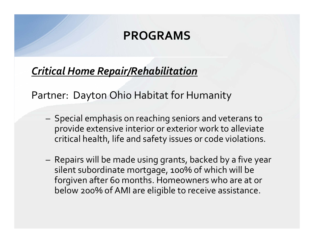### *Critical Home Repair/Rehabilitation*

Partner: Dayton Ohio Habitat for Humanity

- Special emphasis on reaching seniors and veterans to provide extensive interior or exterior work to alleviate critical health, life and safety issues or code violations.
- Repairs will be made using grants, backed by <sup>a</sup> five year silent subordinate mortgage, 100% of which will be forgiven after 60 months. Homeowners who are at or below 200% of AMI are eligible to receive assistance.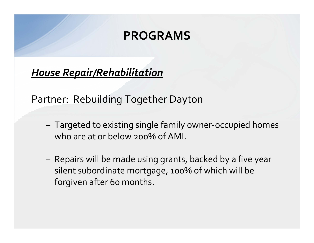### *House Repair/Rehabilitation*

Partner: Rebuilding Together Dayton

- Targeted to existing single family owner‐occupied homes who are at or below 200% of AMI.
- Repairs will be made using grants, backed by <sup>a</sup> five year silent subordinate mortgage, 100% of which will be forgiven after 60 months.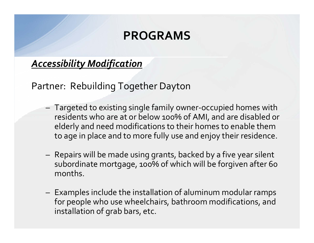#### *Accessibility Modification*

Partner: Rebuilding Together Dayton

- Targeted to existing single family owner‐occupied homes with residents who are at or below 100% of AMI, and are disabled or elderly and need modifications to their homes to enable them to age in place and to more fully use and enjoy their residence.
- Repairs will be made using grants, backed by <sup>a</sup> five year silent subordinate mortgage, 100% of which will be forgiven after 60 months.
- Examples include the installation of aluminum modular ramps for people who use wheelchairs, bathroom modifications, and installation of grab bars, etc.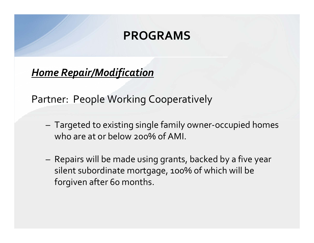*Home Repair/Modification*

Partner: People Working Cooperatively

- Targeted to existing single family owner‐occupied homes who are at or below 200% of AMI.
- Repairs will be made using grants, backed by <sup>a</sup> five year silent subordinate mortgage, 100% of which will be forgiven after 60 months.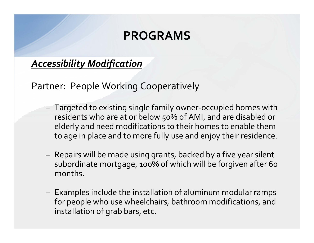#### *Accessibility Modification*

Partner: People Working Cooperatively

- Targeted to existing single family owner‐occupied homes with residents who are at or below 50% of AMI, and are disabled or elderly and need modifications to their homes to enable them to age in place and to more fully use and enjoy their residence.
- Repairs will be made using grants, backed by <sup>a</sup> five year silent subordinate mortgage, 100% of which will be forgiven after 60 months.
- Examples include the installation of aluminum modular ramps for people who use wheelchairs, bathroom modifications, and installation of grab bars, etc.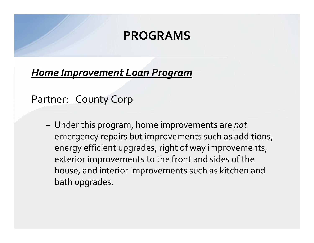#### *Home Improvement Loan Program*

Partner: County Corp

– Under this program, home improvements are *not* emergency repairs but improvements such as additions, energy efficient upgrades, right of way improvements, exterior improvements to the front and sides of the house, and interior improvements such as kitchen and bath upgrades.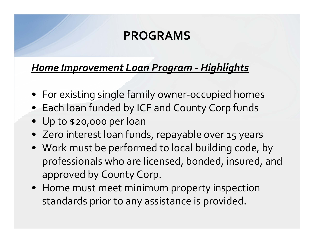#### *Home Improvement Loan Program ‐ Highlights*

- For existing single family owner‐occupied homes
- Each loan funded by ICF and County Corp funds
- Up to \$20,000 per loan
- Zero interest loan funds, repayable over 15 years
- Work must be performed to local building code, by professionals who are licensed, bonded, insured, and approved by County Corp.
- Home must meet minimum property inspection standards prior to any assistance is provided.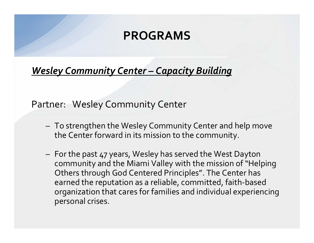*Wesley Community Center – Capacity Building*

#### Partner: Wesley Community Center

- To strengthen the Wesley Community Center and help move the Center forward in its mission to the community.
- For the pas<sup>t</sup> <sup>47</sup> years, Wesley has served the West Dayton community and the Miami Valley with the mission of"Helping Others through God Centered Principles". The Center has earned the reputation as <sup>a</sup> reliable, committed, faith‐based organization that cares for families and individual experiencing personal crises.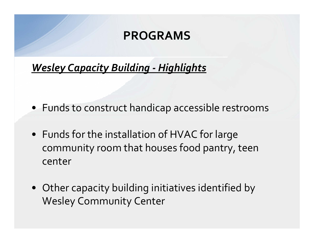### *Wesley Capacity Building ‐ Highlights*

- Funds to construct handicap accessible restrooms
- Funds for the installation of HVAC for large community room that houses food pantry, teen center
- Other capacity building initiatives identified by Wesley Community Center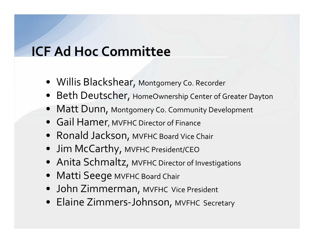## **ICF Ad Hoc Committee**

- Willis Blackshear, Montgomery Co. Recorder
- Beth Deutscher, HomeOwnership Center of Greater Dayton
- Matt Dunn, Montgomery Co. Community Development
- Gail Hamer, MVFHC Director of Finance
- Ronald Jackson, MVFHC Board Vice Chair
- Jim McCarthy, MVFHC President/CEO
- Anita Schmaltz, MVFHC Director of Investigations
- Matti Seege MVFHC Board Chair
- John Zimmerman, MVFHC Vice President
- Elaine Zimmers‐Johnson, MVFHC Secretary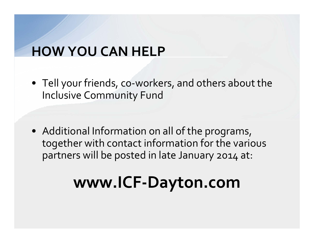## **HOW YOU CAN HELP**

- Tell your friends, co‐workers, and others about the Inclusive Community Fund
- Additional Information on all of the programs, together with contact information for the various partners will be posted in late January 2014 at:

# **www.ICF‐Dayton.com**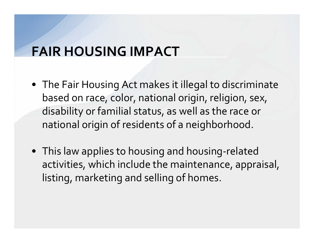## **FAIR HOUSING IMPACT**

- The Fair Housing Act makes it illegal to discriminate based on race, color, national origin, religion, sex, disability or familial status, as well as the race or national origin of residents of <sup>a</sup> neighborhood.
- This law applies to housing and housing‐related activities, which include the maintenance, appraisal, listing, marketing and selling of homes.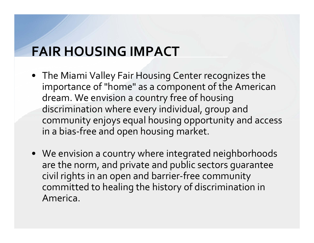## **FAIR HOUSING IMPACT**

- The Miami Valley Fair Housing Center recognizes the importance of "home" as <sup>a</sup> componen<sup>t</sup> of the American dream. We envision <sup>a</sup> country free of housing discrimination where every individual, group and community enjoys equal housing opportunity and access in <sup>a</sup> bias‐free and open housing market.
- We envision <sup>a</sup> country where integrated neighborhoods are the norm, and private and public sectors guarantee civil rights in an open and barrier‐free community committed to healing the history of discrimination in America.